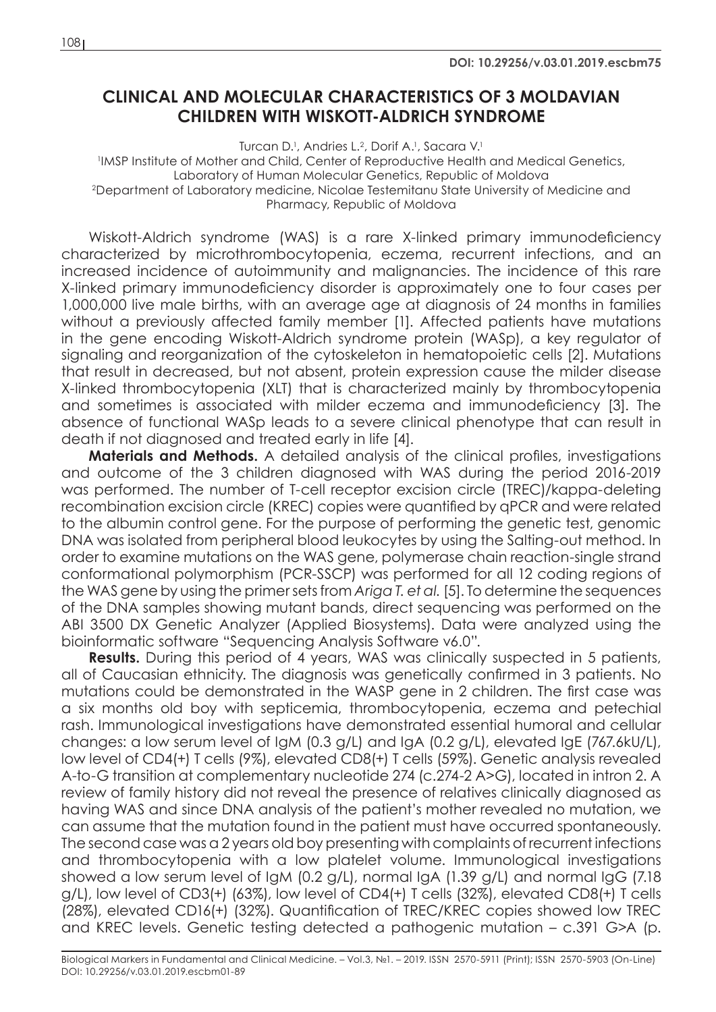## **CLINICAL AND MOLECULAR CHARACTERISTICS OF 3 MOLDAVIAN CHILDREN WITH WISKOTT-ALDRICH SYNDROME**

Turcan D.<sup>1</sup>, Andries L.<sup>2</sup>, Dorif A.<sup>1</sup>, Sacara V.<sup>1</sup> 1 IMSP Institute of Mother and Child, Center of Reproductive Health and Medical Genetics, Laboratory of Human Molecular Genetics, Republic of Moldova 2Department of Laboratory medicine, Nicolae Testemitanu State University of Medicine and Pharmacy, Republic of Moldova

Wiskott-Aldrich syndrome (WAS) is a rare X-linked primary immunodeficiency characterized by microthrombocytopenia, eczema, recurrent infections, and an increased incidence of autoimmunity and malignancies. The incidence of this rare X-linked primary immunodeficiency disorder is approximately one to four cases per 1,000,000 live male births, with an average age at diagnosis of 24 months in families without a previously affected family member [1]. Affected patients have mutations in the gene encoding Wiskott-Aldrich syndrome protein (WASp), a key regulator of signaling and reorganization of the cytoskeleton in hematopoietic cells [2]. Mutations that result in decreased, but not absent, protein expression cause the milder disease X-linked thrombocytopenia (XLT) that is characterized mainly by thrombocytopenia and sometimes is associated with milder eczema and immunodeficiency [3]. The absence of functional WASp leads to a severe clinical phenotype that can result in death if not diagnosed and treated early in life [4].

**Materials and Methods.** A detailed analysis of the clinical profiles, investigations and outcome of the 3 children diagnosed with WAS during the period 2016-2019 was performed. The number of T-cell receptor excision circle (TREC)/kappa-deleting recombination excision circle (KREC) copies were quantified by qPCR and were related to the albumin control gene. For the purpose of performing the genetic test, genomic DNA was isolated from peripheral blood leukocytes by using the Salting-out method. In order to examine mutations on the WAS gene, polymerase chain reaction-single strand conformational polymorphism (PCR-SSCP) was performed for all 12 coding regions of the WAS gene by using the primer sets from *Ariga T. et al.* [5]. To determine the sequences of the DNA samples showing mutant bands, direct sequencing was performed on the ABI 3500 DX Genetic Analyzer (Applied Biosystems). Data were analyzed using the bioinformatic software "Sequencing Analysis Software v6.0".

**Results.** During this period of 4 years, WAS was clinically suspected in 5 patients, all of Caucasian ethnicity. The diagnosis was genetically confirmed in 3 patients. No mutations could be demonstrated in the WASP gene in 2 children. The first case was a six months old boy with septicemia, thrombocytopenia, eczema and petechial rash. Immunological investigations have demonstrated essential humoral and cellular changes: a low serum level of IgM (0.3 g/L) and IgA (0.2 g/L), elevated IgE (767.6kU/L), low level of CD4(+) T cells (9%), elevated CD8(+) T cells (59%). Genetic analysis revealed A-to-G transition at complementary nucleotide 274 (c.274-2 A>G), located in intron 2. A review of family history did not reveal the presence of relatives clinically diagnosed as having WAS and since DNA analysis of the patient's mother revealed no mutation, we can assume that the mutation found in the patient must have occurred spontaneously. The second case was a 2 years old boy presenting with complaints of recurrent infections and thrombocytopenia with a low platelet volume. Immunological investigations showed a low serum level of IgM (0.2 g/L), normal IgA (1.39 g/L) and normal IgG (7.18 g/L), low level of CD3(+) (63%), low level of CD4(+) T cells (32%), elevated CD8(+) T cells (28%), elevated CD16(+) (32%). Quantification of TREC/KREC copies showed low TREC and KREC levels. Genetic testing detected a pathogenic mutation – c.391 G>A (p.